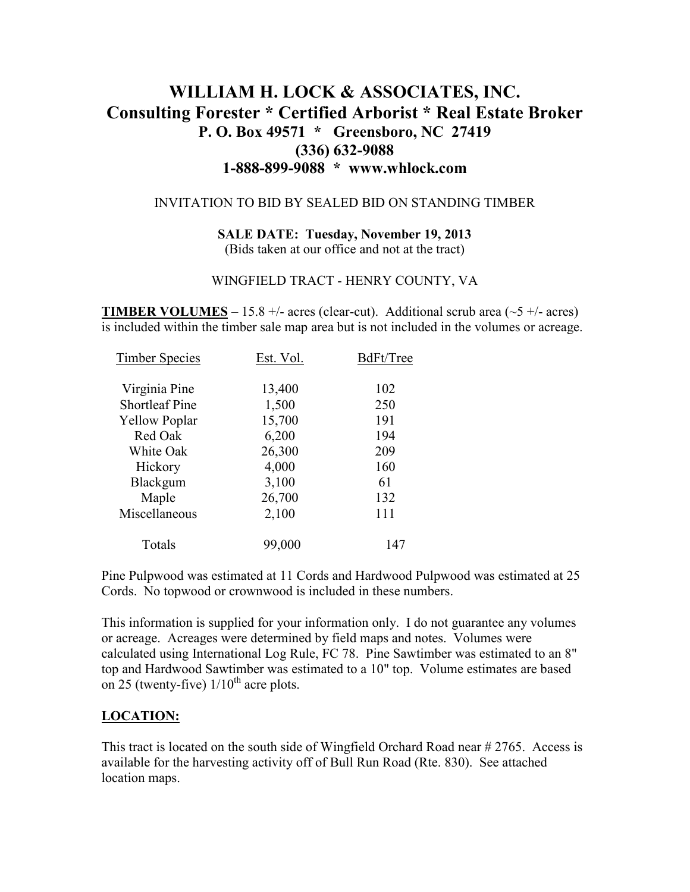# **WILLIAM H. LOCK & ASSOCIATES, INC. Consulting Forester \* Certified Arborist \* Real Estate Broker P. O. Box 49571 \* Greensboro, NC 27419 (336) 632-9088 1-888-899-9088 \* www.whlock.com**

#### INVITATION TO BID BY SEALED BID ON STANDING TIMBER

# **SALE DATE: Tuesday, November 19, 2013**

(Bids taken at our office and not at the tract)

#### WINGFIELD TRACT - HENRY COUNTY, VA

**TIMBER VOLUMES** – 15.8 +/- acres (clear-cut). Additional scrub area  $(-5 +$ /- acres) is included within the timber sale map area but is not included in the volumes or acreage.

| Timber Species        | Est. Vol. | BdFt/Tree |
|-----------------------|-----------|-----------|
| Virginia Pine         | 13,400    | 102       |
| <b>Shortleaf Pine</b> | 1,500     | 250       |
| <b>Yellow Poplar</b>  | 15,700    | 191       |
| Red Oak               | 6,200     | 194       |
| White Oak             | 26,300    | 209       |
| Hickory               | 4,000     | 160       |
| Blackgum              | 3,100     | 61        |
| Maple                 | 26,700    | 132       |
| Miscellaneous         | 2,100     | 111       |
| Totals                | 99,000    | 147       |

Pine Pulpwood was estimated at 11 Cords and Hardwood Pulpwood was estimated at 25 Cords. No topwood or crownwood is included in these numbers.

This information is supplied for your information only. I do not guarantee any volumes or acreage. Acreages were determined by field maps and notes. Volumes were calculated using International Log Rule, FC 78. Pine Sawtimber was estimated to an 8" top and Hardwood Sawtimber was estimated to a 10" top. Volume estimates are based on 25 (twenty-five)  $1/10^{th}$  acre plots.

#### **LOCATION:**

This tract is located on the south side of Wingfield Orchard Road near # 2765. Access is available for the harvesting activity off of Bull Run Road (Rte. 830). See attached location maps.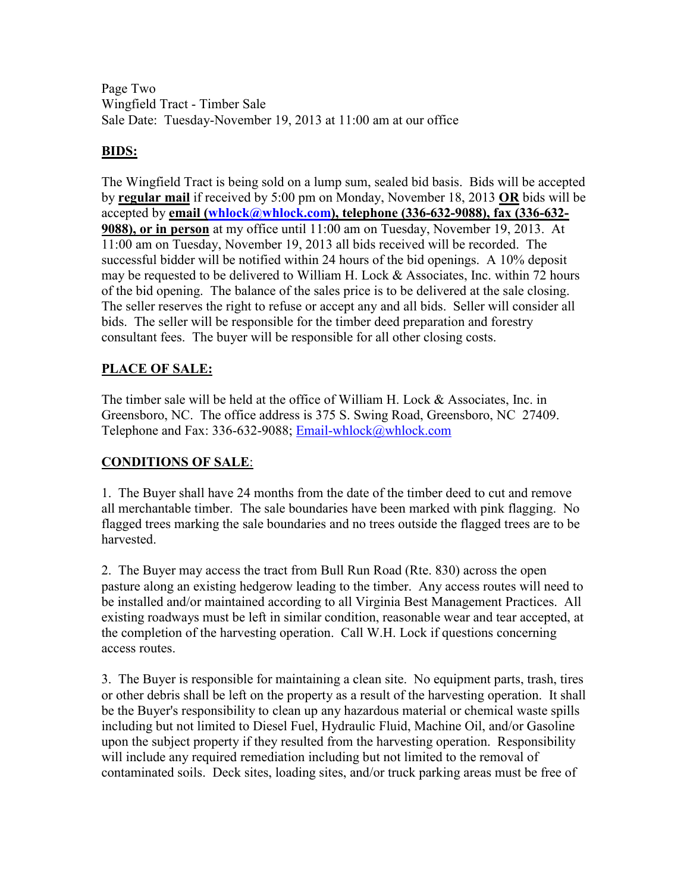Page Two Wingfield Tract - Timber Sale Sale Date: Tuesday-November 19, 2013 at 11:00 am at our office

### **BIDS:**

The Wingfield Tract is being sold on a lump sum, sealed bid basis. Bids will be accepted by **regular mail** if received by 5:00 pm on Monday, November 18, 2013 **OR** bids will be accepted by **email (whlock@whlock.com), telephone (336-632-9088), fax (336-632- 9088), or in person** at my office until 11:00 am on Tuesday, November 19, 2013. At 11:00 am on Tuesday, November 19, 2013 all bids received will be recorded. The successful bidder will be notified within 24 hours of the bid openings. A 10% deposit may be requested to be delivered to William H. Lock & Associates, Inc. within 72 hours of the bid opening. The balance of the sales price is to be delivered at the sale closing. The seller reserves the right to refuse or accept any and all bids. Seller will consider all bids. The seller will be responsible for the timber deed preparation and forestry consultant fees. The buyer will be responsible for all other closing costs.

### **PLACE OF SALE:**

The timber sale will be held at the office of William H. Lock & Associates, Inc. in Greensboro, NC. The office address is 375 S. Swing Road, Greensboro, NC 27409. Telephone and Fax: 336-632-9088; Email-whlock@whlock.com

## **CONDITIONS OF SALE**:

1. The Buyer shall have 24 months from the date of the timber deed to cut and remove all merchantable timber. The sale boundaries have been marked with pink flagging. No flagged trees marking the sale boundaries and no trees outside the flagged trees are to be harvested.

2. The Buyer may access the tract from Bull Run Road (Rte. 830) across the open pasture along an existing hedgerow leading to the timber. Any access routes will need to be installed and/or maintained according to all Virginia Best Management Practices. All existing roadways must be left in similar condition, reasonable wear and tear accepted, at the completion of the harvesting operation. Call W.H. Lock if questions concerning access routes.

3. The Buyer is responsible for maintaining a clean site. No equipment parts, trash, tires or other debris shall be left on the property as a result of the harvesting operation. It shall be the Buyer's responsibility to clean up any hazardous material or chemical waste spills including but not limited to Diesel Fuel, Hydraulic Fluid, Machine Oil, and/or Gasoline upon the subject property if they resulted from the harvesting operation. Responsibility will include any required remediation including but not limited to the removal of contaminated soils. Deck sites, loading sites, and/or truck parking areas must be free of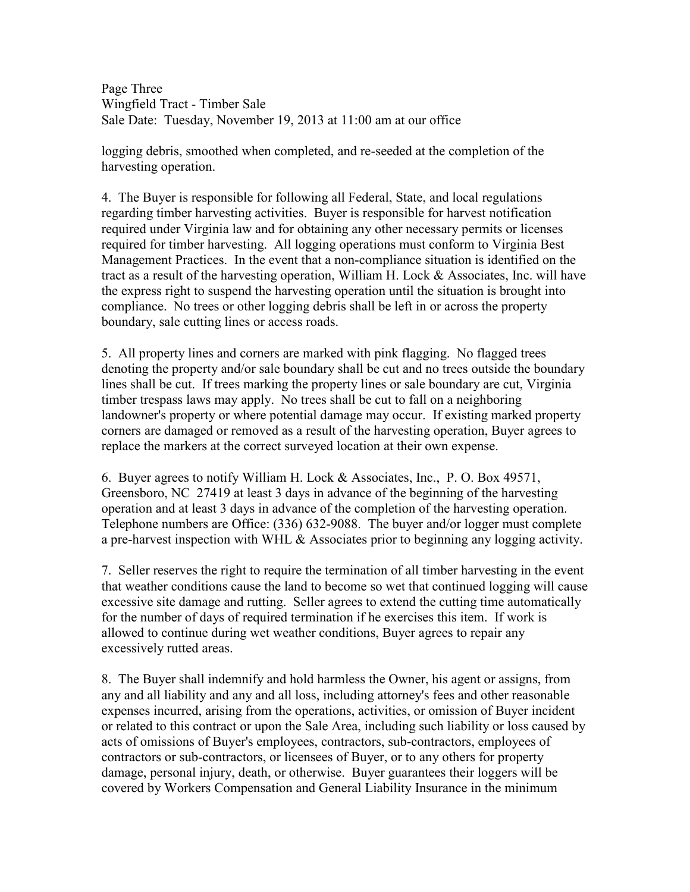Page Three Wingfield Tract - Timber Sale Sale Date: Tuesday, November 19, 2013 at 11:00 am at our office

logging debris, smoothed when completed, and re-seeded at the completion of the harvesting operation.

4. The Buyer is responsible for following all Federal, State, and local regulations regarding timber harvesting activities. Buyer is responsible for harvest notification required under Virginia law and for obtaining any other necessary permits or licenses required for timber harvesting. All logging operations must conform to Virginia Best Management Practices. In the event that a non-compliance situation is identified on the tract as a result of the harvesting operation, William H. Lock & Associates, Inc. will have the express right to suspend the harvesting operation until the situation is brought into compliance. No trees or other logging debris shall be left in or across the property boundary, sale cutting lines or access roads.

5. All property lines and corners are marked with pink flagging. No flagged trees denoting the property and/or sale boundary shall be cut and no trees outside the boundary lines shall be cut. If trees marking the property lines or sale boundary are cut, Virginia timber trespass laws may apply. No trees shall be cut to fall on a neighboring landowner's property or where potential damage may occur. If existing marked property corners are damaged or removed as a result of the harvesting operation, Buyer agrees to replace the markers at the correct surveyed location at their own expense.

6. Buyer agrees to notify William H. Lock & Associates, Inc., P. O. Box 49571, Greensboro, NC 27419 at least 3 days in advance of the beginning of the harvesting operation and at least 3 days in advance of the completion of the harvesting operation. Telephone numbers are Office: (336) 632-9088. The buyer and/or logger must complete a pre-harvest inspection with WHL & Associates prior to beginning any logging activity.

7. Seller reserves the right to require the termination of all timber harvesting in the event that weather conditions cause the land to become so wet that continued logging will cause excessive site damage and rutting. Seller agrees to extend the cutting time automatically for the number of days of required termination if he exercises this item. If work is allowed to continue during wet weather conditions, Buyer agrees to repair any excessively rutted areas.

8. The Buyer shall indemnify and hold harmless the Owner, his agent or assigns, from any and all liability and any and all loss, including attorney's fees and other reasonable expenses incurred, arising from the operations, activities, or omission of Buyer incident or related to this contract or upon the Sale Area, including such liability or loss caused by acts of omissions of Buyer's employees, contractors, sub-contractors, employees of contractors or sub-contractors, or licensees of Buyer, or to any others for property damage, personal injury, death, or otherwise. Buyer guarantees their loggers will be covered by Workers Compensation and General Liability Insurance in the minimum